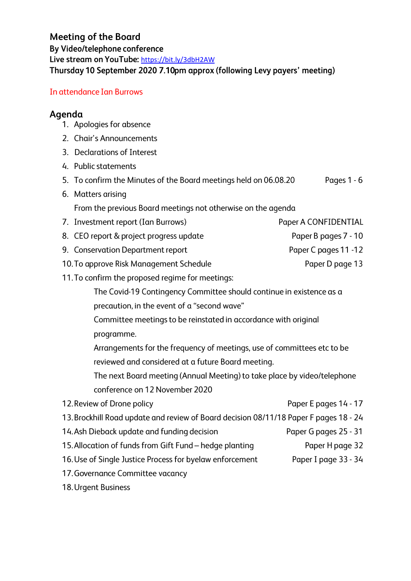https://bit.ly/3dbH2AW **Meeting of the Board By Video/telephone conference**  By Video/telephone conference<br>Live stream on YouTube: <u>https://bit.ly/3dbH2AW</u><br>Thureday 10 September 2020 7 10nm gnnrey **Thursday 10 September 2020 7.10pm approx (following Levy payers' meeting)** 

## In attendance Ian Burrows

## **Agenda**

- 1. Apologies for absence
- 2. Chair's Announcements
- 3. Declarations of Interest
- 4. Public statements
- 5. To confirm the Minutes of the Board meetings held on 06.08.20 Pages 1 - 6
- 6. Matters arising From the previous Board meetings not otherwise on the agenda
- 7. Investment report (Ian Burrows) The Super A CONFIDENTIAL
- 8. CEO report & project progress update Paper B pages 7 10
- 9. Conservation Department report Paper C pages 11 -12
- 10. To approve Risk Management Schedule **Paper D page 13**
- 11. To confirm the proposed regime for meetings:
	- The Covid-19 Contingency Committee should continue in existence as a precaution, in the event of a "second wave"
	- Committee meetings to be reinstated in accordance with original programme.
	- Arrangements for the frequency of meetings, use of committees etc to be reviewed and considered at a future Board meeting.
	- The next Board meeting (Annual Meeting) to take place by video/telephone conference on 12 November 2020

| 12. Review of Drone policy                                                            | Paper E pages 14 - 17 |
|---------------------------------------------------------------------------------------|-----------------------|
| 13. Brockhill Road update and review of Board decision 08/11/18 Paper F pages 18 - 24 |                       |
| 14. Ash Dieback update and funding decision                                           | Paper G pages 25 - 31 |
| 15. Allocation of funds from Gift Fund – hedge planting                               | Paper H page 32       |
| 16. Use of Single Justice Process for byelaw enforcement                              | Paper I page 33 - 34  |
| 17. Governance Committee vacancy                                                      |                       |

18. Urgent Business